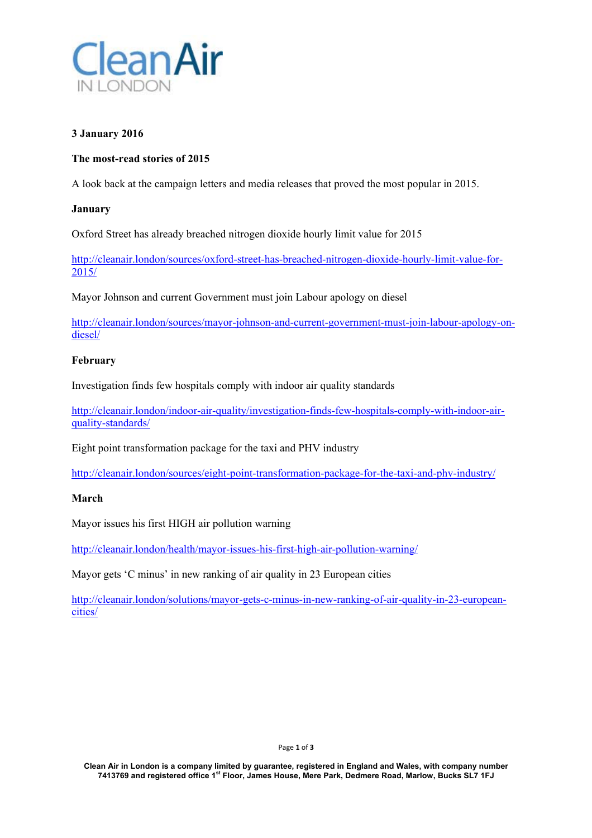

### **3 January 2016**

## **The most-read stories of 2015**

A look back at the campaign letters and media releases that proved the most popular in 2015.

### **January**

Oxford Street has already breached nitrogen dioxide hourly limit value for 2015

http://cleanair.london/sources/oxford-street-has-breached-nitrogen-dioxide-hourly-limit-value-for-2015/

Mayor Johnson and current Government must join Labour apology on diesel

http://cleanair.london/sources/mayor-johnson-and-current-government-must-join-labour-apology-ondiesel/

### **February**

Investigation finds few hospitals comply with indoor air quality standards

http://cleanair.london/indoor-air-quality/investigation-finds-few-hospitals-comply-with-indoor-airquality-standards/

Eight point transformation package for the taxi and PHV industry

http://cleanair.london/sources/eight-point-transformation-package-for-the-taxi-and-phv-industry/

### **March**

Mayor issues his first HIGH air pollution warning

http://cleanair.london/health/mayor-issues-his-first-high-air-pollution-warning/

Mayor gets 'C minus' in new ranking of air quality in 23 European cities

http://cleanair.london/solutions/mayor-gets-c-minus-in-new-ranking-of-air-quality-in-23-europeancities/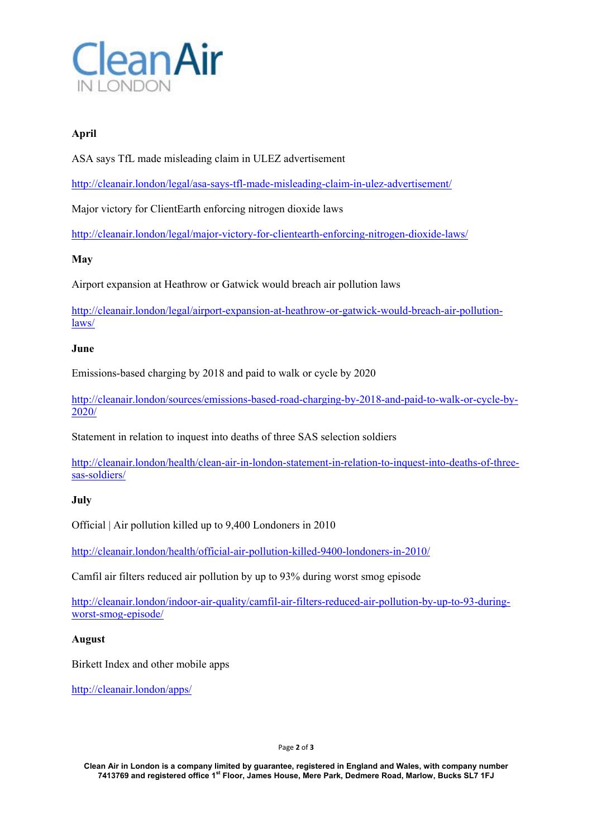

# **April**

ASA says TfL made misleading claim in ULEZ advertisement

http://cleanair.london/legal/asa-says-tfl-made-misleading-claim-in-ulez-advertisement/

Major victory for ClientEarth enforcing nitrogen dioxide laws

http://cleanair.london/legal/major-victory-for-clientearth-enforcing-nitrogen-dioxide-laws/

## **May**

Airport expansion at Heathrow or Gatwick would breach air pollution laws

http://cleanair.london/legal/airport-expansion-at-heathrow-or-gatwick-would-breach-air-pollutionlaws/

## **June**

Emissions-based charging by 2018 and paid to walk or cycle by 2020

http://cleanair.london/sources/emissions-based-road-charging-by-2018-and-paid-to-walk-or-cycle-by-2020/

Statement in relation to inquest into deaths of three SAS selection soldiers

http://cleanair.london/health/clean-air-in-london-statement-in-relation-to-inquest-into-deaths-of-threesas-soldiers/

## **July**

Official | Air pollution killed up to 9,400 Londoners in 2010

http://cleanair.london/health/official-air-pollution-killed-9400-londoners-in-2010/

Camfil air filters reduced air pollution by up to 93% during worst smog episode

http://cleanair.london/indoor-air-quality/camfil-air-filters-reduced-air-pollution-by-up-to-93-duringworst-smog-episode/

### **August**

Birkett Index and other mobile apps

http://cleanair.london/apps/

Page **2** of **3** 

**Clean Air in London is a company limited by guarantee, registered in England and Wales, with company number 7413769 and registered office 1st Floor, James House, Mere Park, Dedmere Road, Marlow, Bucks SL7 1FJ**